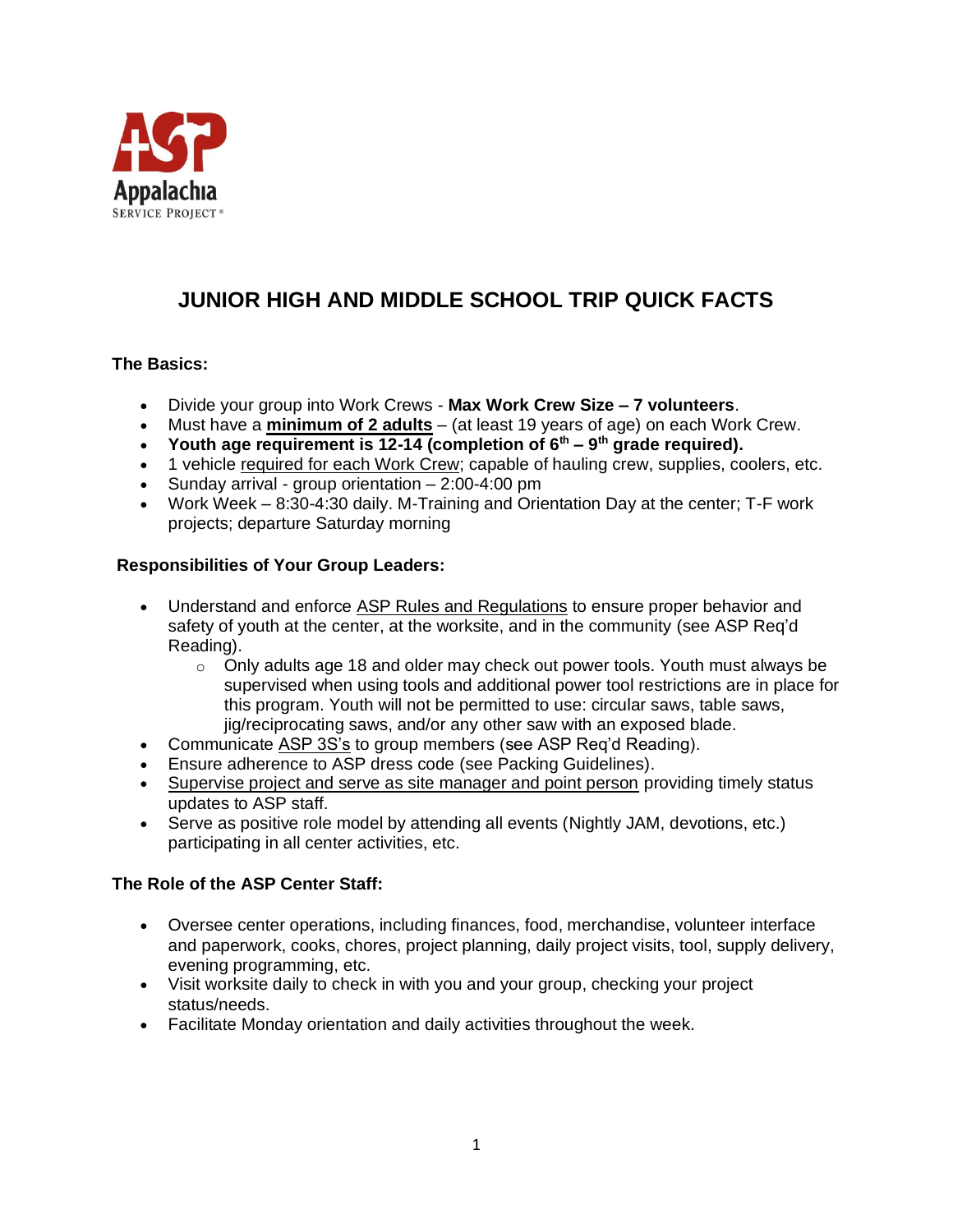

# **JUNIOR HIGH AND MIDDLE SCHOOL TRIP QUICK FACTS**

## **The Basics:**

- Divide your group into Work Crews **Max Work Crew Size – 7 volunteers**.
- Must have a **minimum of 2 adults** (at least 19 years of age) on each Work Crew.
- **Youth age requirement is 12-14 (completion of 6th – 9 th grade required).**
- 1 vehicle required for each Work Crew; capable of hauling crew, supplies, coolers, etc.
- Sunday arrival group orientation 2:00-4:00 pm
- Work Week 8:30-4:30 daily. M-Training and Orientation Day at the center; T-F work projects; departure Saturday morning

## **Responsibilities of Your Group Leaders:**

- Understand and enforce ASP Rules and Regulations to ensure proper behavior and safety of youth at the center, at the worksite, and in the community (see ASP Req'd Reading).
	- $\circ$  Only adults age 18 and older may check out power tools. Youth must always be supervised when using tools and additional power tool restrictions are in place for this program. Youth will not be permitted to use: circular saws, table saws, jig/reciprocating saws, and/or any other saw with an exposed blade.
- Communicate ASP 3S's to group members (see ASP Req'd Reading).
- Ensure adherence to ASP dress code (see Packing Guidelines).
- Supervise project and serve as site manager and point person providing timely status updates to ASP staff.
- Serve as positive role model by attending all events (Nightly JAM, devotions, etc.) participating in all center activities, etc.

## **The Role of the ASP Center Staff:**

- Oversee center operations, including finances, food, merchandise, volunteer interface and paperwork, cooks, chores, project planning, daily project visits, tool, supply delivery, evening programming, etc.
- Visit worksite daily to check in with you and your group, checking your project status/needs.
- Facilitate Monday orientation and daily activities throughout the week.